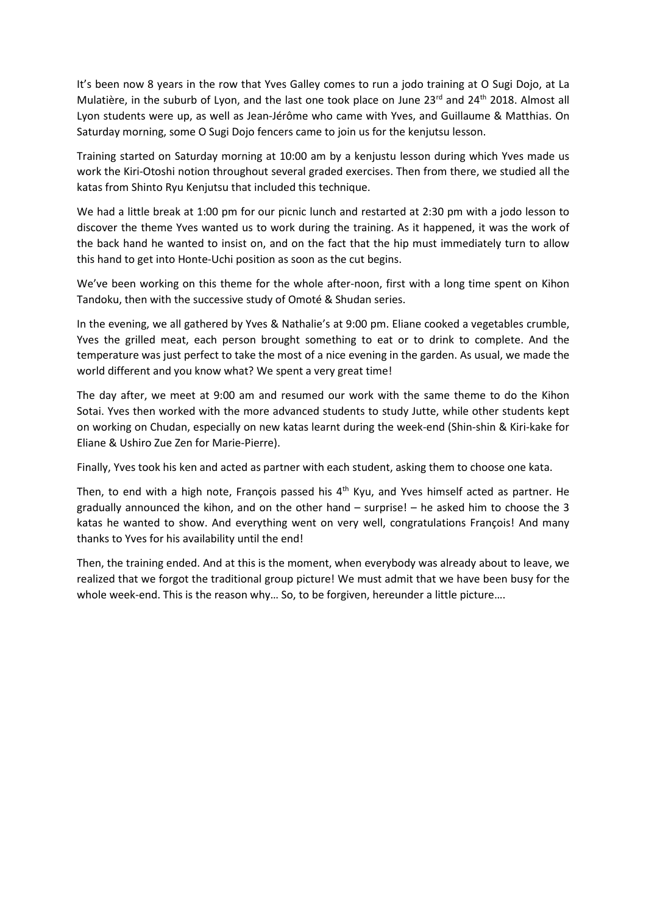It's been now 8 years in the row that Yves Galley comes to run a jodo training at O Sugi Dojo, at La Mulatière, in the suburb of Lyon, and the last one took place on June 23rd and 24<sup>th</sup> 2018. Almost all Lyon students were up, as well as Jean-Jérôme who came with Yves, and Guillaume & Matthias. On Saturday morning, some O Sugi Dojo fencers came to join us for the kenjutsu lesson.

Training started on Saturday morning at 10:00 am by a kenjustu lesson during which Yves made us work the Kiri-Otoshi notion throughout several graded exercises. Then from there, we studied all the katas from Shinto Ryu Kenjutsu that included this technique.

We had a little break at 1:00 pm for our picnic lunch and restarted at 2:30 pm with a jodo lesson to discover the theme Yves wanted us to work during the training. As it happened, it was the work of the back hand he wanted to insist on, and on the fact that the hip must immediately turn to allow this hand to get into Honte-Uchi position as soon as the cut begins.

We've been working on this theme for the whole after-noon, first with a long time spent on Kihon Tandoku, then with the successive study of Omoté & Shudan series.

In the evening, we all gathered by Yves & Nathalie's at 9:00 pm. Eliane cooked a vegetables crumble, Yves the grilled meat, each person brought something to eat or to drink to complete. And the temperature was just perfect to take the most of a nice evening in the garden. As usual, we made the world different and you know what? We spent a very great time!

The day after, we meet at 9:00 am and resumed our work with the same theme to do the Kihon Sotai. Yves then worked with the more advanced students to study Jutte, while other students kept on working on Chudan, especially on new katas learnt during the week-end (Shin-shin & Kiri-kake for Eliane & Ushiro Zue Zen for Marie-Pierre).

Finally, Yves took his ken and acted as partner with each student, asking them to choose one kata.

Then, to end with a high note, François passed his  $4<sup>th</sup>$  Kyu, and Yves himself acted as partner. He gradually announced the kihon, and on the other hand – surprise! – he asked him to choose the 3 katas he wanted to show. And everything went on very well, congratulations François! And many thanks to Yves for his availability until the end!

Then, the training ended. And at this is the moment, when everybody was already about to leave, we realized that we forgot the traditional group picture! We must admit that we have been busy for the whole week-end. This is the reason why... So, to be forgiven, hereunder a little picture....